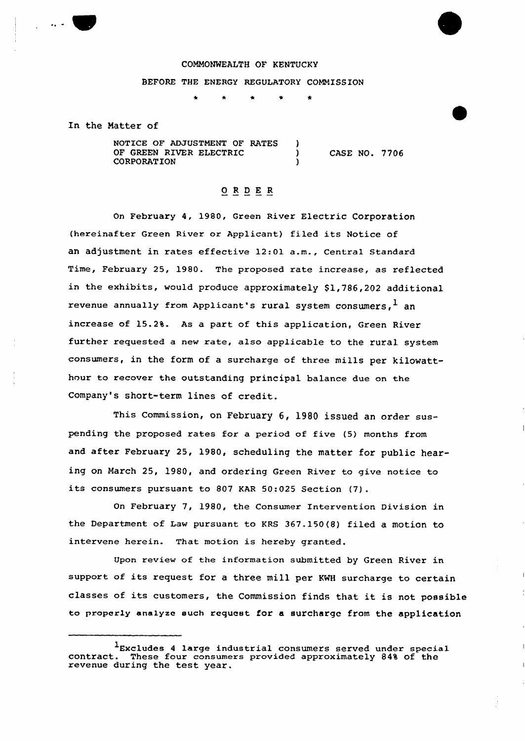## COMMONWEALTH OF KENTUCKY BEFORE THE ENERGY REGULATORY COMMISSION

In the Matter of

NOTICE OF ADJUSTMENT OF RATES OF GREEN RIVER ELECTRIC **CORPORATION** 

CASE NO. 7706

## Q R D E R

On February 4, 1980, Green River Electric Corporation (hereinafter Green River or Applicant) filed its Notice of an adjustment in rates effective 12:01 a.m., Central Standard Time, February 25, 1980. The proposed rate increase, as reflected in the exhibits, would produce approximately \$1,786,202 additional revenue annually from Applicant's rural system consumers,  $<sup>1</sup>$  an</sup> increase of 15.2%. As a part of this application, Green River further requested a new rate, also applicable to the rural system consumers, in the form of a surcharge of three mills per kilowatthour to recover the outstanding principal balance due on the Company's short-term lines of credit.

This Commission, on February 6, 1980 issued an order suspending the proposed rates for a period of five (5) months from and after February 25, 1980, scheduling the matter for public hearing on March 25, 1980, and ordering Green River to give notice to its consumers pursuant to <sup>807</sup> KAR 50:025 Section (7).

On February 7, 1980, the Consumer Intervention Division in the Department of Law pursuant to KRs 367.150(8) filed a motion to intervene herein. That motion is hereby granted.

Upon review of the information submitted by Green River in support of its request for <sup>a</sup> three mill per KWH surcharge to certain classes of its customers, the Commission finds that it is not, possible to properly analyze such request for a surcharge from the application

Excludes 4 large industrial consumers served under specia contract. These four consumers provided approximately 84% of the contract. These four consume<br>revenue during the test year.